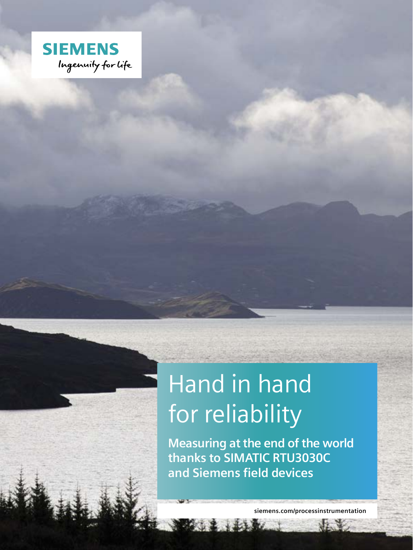

# Hand in hand for reliability

**Measuring at the end of the world thanks to SIMATIC RTU3030C and Siemens field devices**

**siemens.com/processinstrumentation**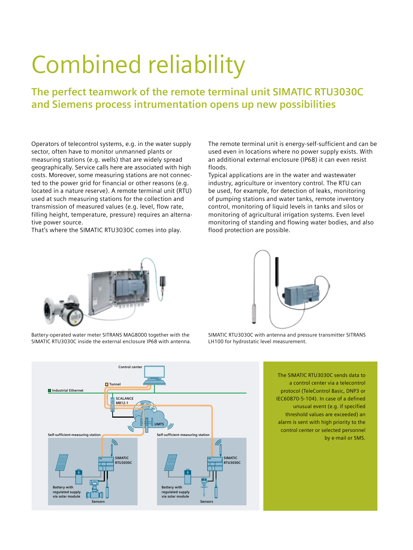# Combined reliability

**The perfect teamwork of the remote terminal unit SIMATIC RTU3030C and Siemens process intrumentation opens up new possibilities**

Operators of telecontrol systems, e.g. in the water supply sector, often have to monitor unmanned plants or measuring stations (e.g. wells) that are widely spread geographically. Service calls here are associated with high costs. Moreover, some measuring stations are not connected to the power grid for financial or other reasons (e.g. located in a nature reserve). A remote terminal unit (RTU) used at such measuring stations for the collection and transmission of measured values (e.g. level, flow rate, filling height, temperature, pressure) requires an alternative power source.

That's where the SIMATIC RTU3030C comes into play.

The remote terminal unit is energy-self-sufficient and can be used even in locations where no power supply exists. With an additional external enclosure (IP68) it can even resist floods.

Typical applications are in the water and wastewater industry, agriculture or inventory control. The RTU can be used, for example, for detection of leaks, monitoring of pumping stations and water tanks, remote inventory control, monitoring of liquid levels in tanks and silos or monitoring of agricultural irrigation systems. Even level monitoring of standing and flowing water bodies, and also flood protection are possible.



Battery-operated water meter SITRANS MAG8000 together with the SIMATIC RTU3030C inside the external enclosure IP68 with antenna.



SIMATIC RTU3030C with antenna and pressure transmitter SITRANS LH100 for hydrostatic level measurement.

> The SIMATIC RTU3030C sends data to a control center via a telecontrol protocol (TeleControl Basic, DNP3 or IEC60870-5-104). In case of a defined unusual event (e.g. if specified threshold values are exceeded) an alarm is sent with high priority to the control center or selected personnel by e-mail or SMS.

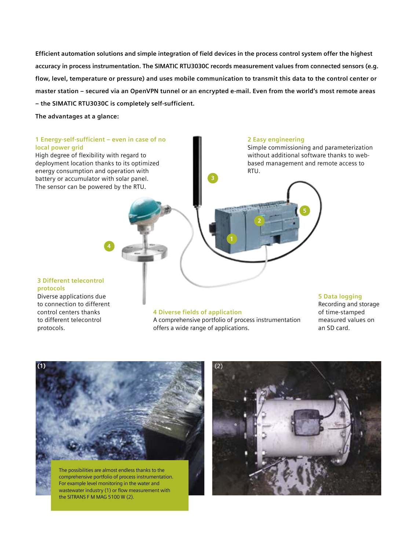**Efficient automation solutions and simple integration of field devices in the process control system offer the highest accuracy in process instrumentation. The SIMATIC RTU3030C records measurement values from connected sensors (e.g. flow, level, temperature or pressure) and uses mobile communication to transmit this data to the control center or master station – secured via an OpenVPN tunnel or an encrypted e-mail. Even from the world's most remote areas – the SIMATIC RTU3030C is completely self-sufficient.** 

**The advantages at a glance:**

### **1 Energy-self-sufficient – even in case of no local power grid**

High degree of flexibility with regard to deployment location thanks to its optimized energy consumption and operation with battery or accumulator with solar panel. The sensor can be powered by the RTU.

### **2 Easy engineering**

Simple commissioning and parameterization without additional software thanks to webbased management and remote access to RTU.

#### **3 Different telecontrol protocols**

Diverse applications due to connection to different control centers thanks to different telecontrol protocols.

#### **4 Diverse fields of application**

A comprehensive portfolio of process instrumentation offers a wide range of applications.

## **5 Data logging**

Recording and storage of time-stamped measured values on an SD card.



The possibilities are almost endless thanks to the comprehensive portfolio of process instrumentation. For example level monitoring in the water and wastewater industry (1) or flow measurement with the SITRANS F M MAG 5100 W (2).